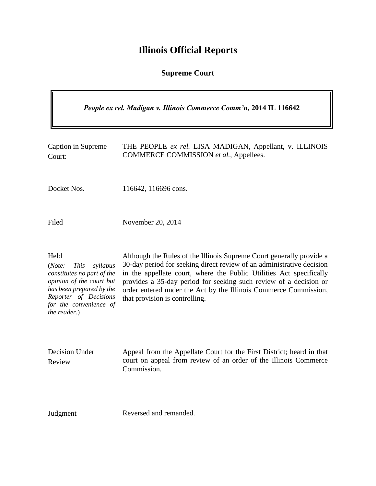# **Illinois Official Reports**

**Supreme Court**

| People ex rel. Madigan v. Illinois Commerce Comm'n, 2014 IL 116642                                                                                                                                 |                                                                                                                                                                                                                                                                                                                                                                                                 |  |
|----------------------------------------------------------------------------------------------------------------------------------------------------------------------------------------------------|-------------------------------------------------------------------------------------------------------------------------------------------------------------------------------------------------------------------------------------------------------------------------------------------------------------------------------------------------------------------------------------------------|--|
| Caption in Supreme<br>Court:                                                                                                                                                                       | THE PEOPLE ex rel. LISA MADIGAN, Appellant, v. ILLINOIS<br>COMMERCE COMMISSION et al., Appellees.                                                                                                                                                                                                                                                                                               |  |
| Docket Nos.                                                                                                                                                                                        | 116642, 116696 cons.                                                                                                                                                                                                                                                                                                                                                                            |  |
| Filed                                                                                                                                                                                              | November 20, 2014                                                                                                                                                                                                                                                                                                                                                                               |  |
| Held<br>(Note:<br><i>This</i><br>syllabus<br>constitutes no part of the<br>opinion of the court but<br>has been prepared by the<br>Reporter of Decisions<br>for the convenience of<br>the reader.) | Although the Rules of the Illinois Supreme Court generally provide a<br>30-day period for seeking direct review of an administrative decision<br>in the appellate court, where the Public Utilities Act specifically<br>provides a 35-day period for seeking such review of a decision or<br>order entered under the Act by the Illinois Commerce Commission,<br>that provision is controlling. |  |
| Decision Under<br>Review                                                                                                                                                                           | Appeal from the Appellate Court for the First District; heard in that<br>court on appeal from review of an order of the Illinois Commerce<br>Commission.                                                                                                                                                                                                                                        |  |
| Judgment                                                                                                                                                                                           | Reversed and remanded.                                                                                                                                                                                                                                                                                                                                                                          |  |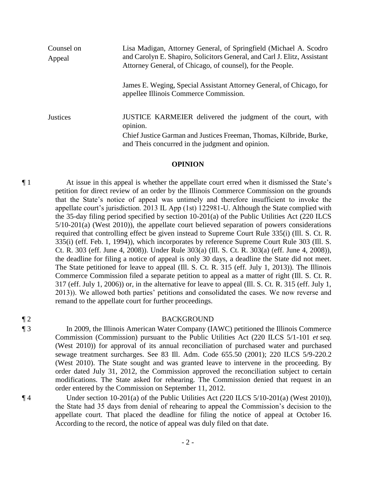| Counsel on<br>Appeal | Lisa Madigan, Attorney General, of Springfield (Michael A. Scodro<br>and Carolyn E. Shapiro, Solicitors General, and Carl J. Elitz, Assistant<br>Attorney General, of Chicago, of counsel), for the People. |
|----------------------|-------------------------------------------------------------------------------------------------------------------------------------------------------------------------------------------------------------|
|                      | James E. Weging, Special Assistant Attorney General, of Chicago, for<br>appellee Illinois Commerce Commission.                                                                                              |
| <b>Justices</b>      | JUSTICE KARMEIER delivered the judgment of the court, with<br>opinion.<br>Chief Justice Garman and Justices Freeman, Thomas, Kilbride, Burke,<br>and Theis concurred in the judgment and opinion.           |

### **OPINION**

¶ 1 At issue in this appeal is whether the appellate court erred when it dismissed the State's petition for direct review of an order by the Illinois Commerce Commission on the grounds that the State's notice of appeal was untimely and therefore insufficient to invoke the appellate court's jurisdiction. 2013 IL App (1st) 122981-U. Although the State complied with the 35-day filing period specified by section 10-201(a) of the Public Utilities Act (220 ILCS 5/10-201(a) (West 2010)), the appellate court believed separation of powers considerations required that controlling effect be given instead to Supreme Court Rule 335(i) (Ill. S. Ct. R. 335(i) (eff. Feb. 1, 1994)), which incorporates by reference Supreme Court Rule 303 (Ill. S. Ct. R. 303 (eff. June 4, 2008)). Under Rule 303(a) (Ill. S. Ct. R. 303(a) (eff. June 4, 2008)), the deadline for filing a notice of appeal is only 30 days, a deadline the State did not meet. The State petitioned for leave to appeal (Ill. S. Ct. R. 315 (eff. July 1, 2013)). The Illinois Commerce Commission filed a separate petition to appeal as a matter of right (Ill. S. Ct. R. 317 (eff. July 1, 2006)) or, in the alternative for leave to appeal (Ill. S. Ct. R. 315 (eff. July 1, 2013)). We allowed both parties' petitions and consolidated the cases. We now reverse and remand to the appellate court for further proceedings.

¶ 2 BACKGROUND

¶ 3 In 2009, the Illinois American Water Company (IAWC) petitioned the Illinois Commerce Commission (Commission) pursuant to the Public Utilities Act (220 ILCS 5/1-101 *et seq.* (West 2010)) for approval of its annual reconciliation of purchased water and purchased sewage treatment surcharges. See 83 Ill. Adm. Code 655.50 (2001); 220 ILCS 5/9-220.2 (West 2010). The State sought and was granted leave to intervene in the proceeding. By order dated July 31, 2012, the Commission approved the reconciliation subject to certain modifications. The State asked for rehearing. The Commission denied that request in an order entered by the Commission on September 11, 2012.

¶ 4 Under section 10-201(a) of the Public Utilities Act (220 ILCS 5/10-201(a) (West 2010)), the State had 35 days from denial of rehearing to appeal the Commission's decision to the appellate court. That placed the deadline for filing the notice of appeal at October 16. According to the record, the notice of appeal was duly filed on that date.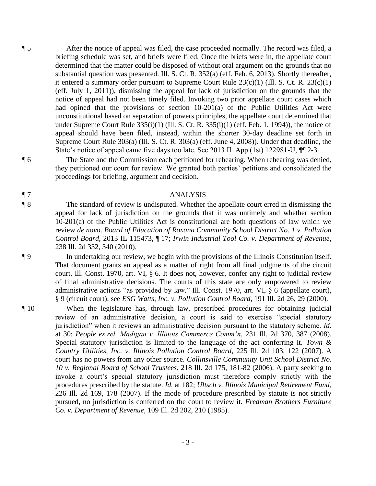¶ 5 After the notice of appeal was filed, the case proceeded normally. The record was filed, a briefing schedule was set, and briefs were filed. Once the briefs were in, the appellate court determined that the matter could be disposed of without oral argument on the grounds that no substantial question was presented. Ill. S. Ct. R. 352(a) (eff. Feb. 6, 2013). Shortly thereafter, it entered a summary order pursuant to Supreme Court Rule  $23(c)(1)$  (Ill. S. Ct. R.  $23(c)(1)$ ) (eff. July 1, 2011)), dismissing the appeal for lack of jurisdiction on the grounds that the notice of appeal had not been timely filed. Invoking two prior appellate court cases which had opined that the provisions of section 10-201(a) of the Public Utilities Act were unconstitutional based on separation of powers principles, the appellate court determined that under Supreme Court Rule  $335(i)(1)$  (Ill. S. Ct. R.  $335(i)(1)$  (eff. Feb. 1, 1994)), the notice of appeal should have been filed, instead, within the shorter 30-day deadline set forth in Supreme Court Rule 303(a) (Ill. S. Ct. R. 303(a) (eff. June 4, 2008)). Under that deadline, the State's notice of appeal came five days too late. See 2013 IL App (1st) 122981-U,  $\P$ [2-3.

¶ 6 The State and the Commission each petitioned for rehearing. When rehearing was denied, they petitioned our court for review. We granted both parties' petitions and consolidated the proceedings for briefing, argument and decision.

# ¶ 7 ANALYSIS

¶ 8 The standard of review is undisputed. Whether the appellate court erred in dismissing the appeal for lack of jurisdiction on the grounds that it was untimely and whether section 10-201(a) of the Public Utilities Act is constitutional are both questions of law which we review *de novo*. *Board of Education of Roxana Community School District No. 1 v. Pollution Control Board*, 2013 IL 115473, ¶ 17; *Irwin Industrial Tool Co. v. Department of Revenue*, 238 Ill. 2d 332, 340 (2010).

¶ 9 In undertaking our review, we begin with the provisions of the Illinois Constitution itself. That document grants an appeal as a matter of right from all final judgments of the circuit court. Ill. Const. 1970, art. VI, § 6. It does not, however, confer any right to judicial review of final administrative decisions. The courts of this state are only empowered to review administrative actions "as provided by law." Ill. Const. 1970, art. VI, § 6 (appellate court), § 9 (circuit court); see *ESG Watts, Inc. v. Pollution Control Board*, 191 Ill. 2d 26, 29 (2000).

¶ 10 When the legislature has, through law, prescribed procedures for obtaining judicial review of an administrative decision, a court is said to exercise "special statutory jurisdiction" when it reviews an administrative decision pursuant to the statutory scheme. *Id*. at 30; *People ex rel. Madigan v. Illinois Commerce Comm'n*, 231 Ill. 2d 370, 387 (2008). Special statutory jurisdiction is limited to the language of the act conferring it. *Town & Country Utilities, Inc. v. Illinois Pollution Control Board*, 225 Ill. 2d 103, 122 (2007). A court has no powers from any other source. *Collinsville Community Unit School District No. 10 v. Regional Board of School Trustees*, 218 Ill. 2d 175, 181-82 (2006). A party seeking to invoke a court's special statutory jurisdiction must therefore comply strictly with the procedures prescribed by the statute. *Id.* at 182; *Ultsch v. Illinois Municipal Retirement Fund*, 226 Ill. 2d 169, 178 (2007). If the mode of procedure prescribed by statute is not strictly pursued, no jurisdiction is conferred on the court to review it. *Fredman Brothers Furniture Co. v. Department of Revenue*, 109 Ill. 2d 202, 210 (1985).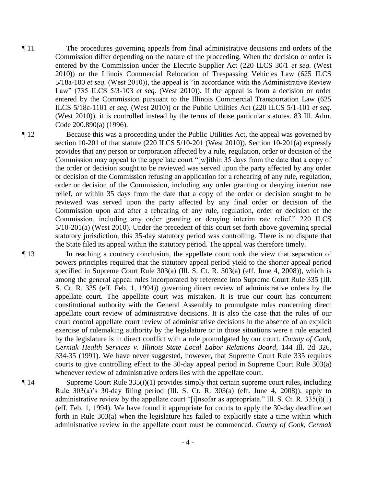¶ 11 The procedures governing appeals from final administrative decisions and orders of the Commission differ depending on the nature of the proceeding. When the decision or order is entered by the Commission under the Electric Supplier Act (220 ILCS 30/1 *et seq.* (West 2010)) or the Illinois Commercial Relocation of Trespassing Vehicles Law (625 ILCS 5/18a-100 *et seq.* (West 2010)), the appeal is "in accordance with the Administrative Review Law" (735 ILCS 5/3-103 *et seq.* (West 2010)). If the appeal is from a decision or order entered by the Commission pursuant to the Illinois Commercial Transportation Law (625 ILCS 5/18c-1101 *et seq.* (West 2010)) or the Public Utilities Act (220 ILCS 5/1-101 *et seq*. (West 2010)), it is controlled instead by the terms of those particular statutes. 83 Ill. Adm. Code 200.890(a) (1996).

¶ 12 Because this was a proceeding under the Public Utilities Act, the appeal was governed by section 10-201 of that statute (220 ILCS 5/10-201 (West 2010)). Section 10-201(a) expressly provides that any person or corporation affected by a rule, regulation, order or decision of the Commission may appeal to the appellate court "[w]ithin 35 days from the date that a copy of the order or decision sought to be reviewed was served upon the party affected by any order or decision of the Commission refusing an application for a rehearing of any rule, regulation, order or decision of the Commission, including any order granting or denying interim rate relief, or within 35 days from the date that a copy of the order or decision sought to be reviewed was served upon the party affected by any final order or decision of the Commission upon and after a rehearing of any rule, regulation, order or decision of the Commission, including any order granting or denying interim rate relief." 220 ILCS 5/10-201(a) (West 2010). Under the precedent of this court set forth above governing special statutory jurisdiction, this 35-day statutory period was controlling. There is no dispute that the State filed its appeal within the statutory period. The appeal was therefore timely.

¶ 13 In reaching a contrary conclusion, the appellate court took the view that separation of powers principles required that the statutory appeal period yield to the shorter appeal period specified in Supreme Court Rule 303(a) (Ill. S. Ct. R. 303(a) (eff. June 4, 2008)), which is among the general appeal rules incorporated by reference into Supreme Court Rule 335 (Ill. S. Ct. R. 335 (eff. Feb. 1, 1994)) governing direct review of administrative orders by the appellate court. The appellate court was mistaken. It is true our court has concurrent constitutional authority with the General Assembly to promulgate rules concerning direct appellate court review of administrative decisions. It is also the case that the rules of our court control appellate court review of administrative decisions in the absence of an explicit exercise of rulemaking authority by the legislature or in those situations were a rule enacted by the legislature is in direct conflict with a rule promulgated by our court. *County of Cook, Cermak Health Services v. Illinois State Local Labor Relations Board*, 144 Ill. 2d 326, 334-35 (1991). We have never suggested, however, that Supreme Court Rule 335 requires courts to give controlling effect to the 30-day appeal period in Supreme Court Rule 303(a) whenever review of administrative orders lies with the appellate court.

 $\P$  14 Supreme Court Rule 335(i)(1) provides simply that certain supreme court rules, including Rule 303(a)'s 30-day filing period (Ill. S. Ct. R. 303(a) (eff. June 4, 2008)), apply to administrative review by the appellate court "[i]nsofar as appropriate." Ill. S. Ct. R. 335(i)(1) (eff. Feb. 1, 1994). We have found it appropriate for courts to apply the 30-day deadline set forth in Rule 303(a) when the legislature has failed to explicitly state a time within which administrative review in the appellate court must be commenced. *County of Cook, Cermak*